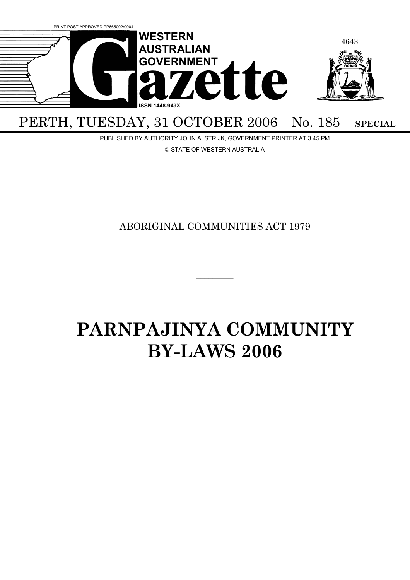

## PERTH, TUESDAY, 31 OCTOBER 2006 No. 185 SPECIAL

PUBLISHED BY AUTHORITY JOHN A. STRIJK, GOVERNMENT PRINTER AT 3.45 PM

© STATE OF WESTERN AUSTRALIA

### ABORIGINAL COMMUNITIES ACT 1979

 $\overline{\phantom{a}}$ 

# **PARNPAJINYA COMMUNITY BY-LAWS 2006**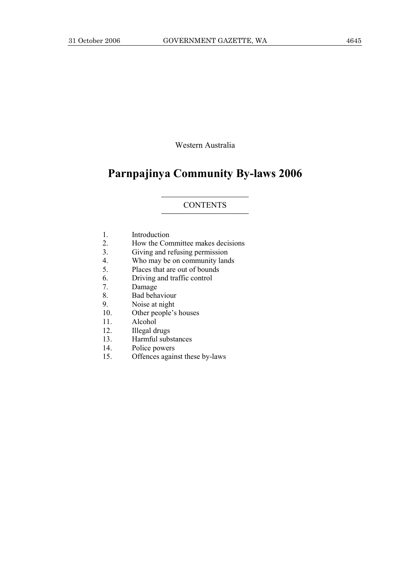Western Australia

## **Parnpajinya Community By-laws 2006**

#### CONTENTS

- 1. Introduction
- 2. How the Committee makes decisions
- 3. Giving and refusing permission
- 4. Who may be on community lands
- 5. Places that are out of bounds
- 6. Driving and traffic control
- 7. Damage
- 8. Bad behaviour
- 9. Noise at night
- 10. Other people's houses
- 11. Alcohol
- 12. Illegal drugs
- 13. Harmful substances
- 14. Police powers
- 15. Offences against these by-laws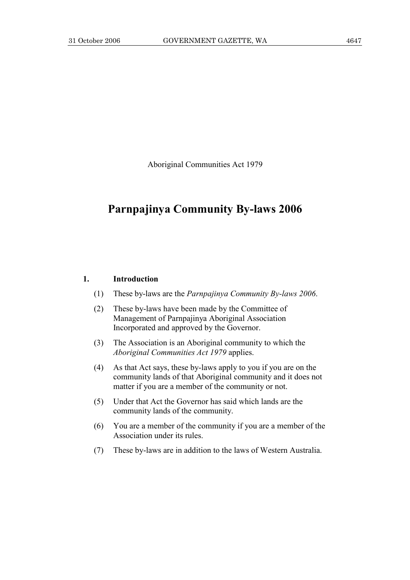Aboriginal Communities Act 1979

## **Parnpajinya Community By-laws 2006**

#### **1. Introduction**

- (1) These by-laws are the *Parnpajinya Community By-laws 2006*.
- (2) These by-laws have been made by the Committee of Management of Parnpajinya Aboriginal Association Incorporated and approved by the Governor.
- (3) The Association is an Aboriginal community to which the *Aboriginal Communities Act 1979* applies.
- (4) As that Act says, these by-laws apply to you if you are on the community lands of that Aboriginal community and it does not matter if you are a member of the community or not.
- (5) Under that Act the Governor has said which lands are the community lands of the community.
- (6) You are a member of the community if you are a member of the Association under its rules.
- (7) These by-laws are in addition to the laws of Western Australia.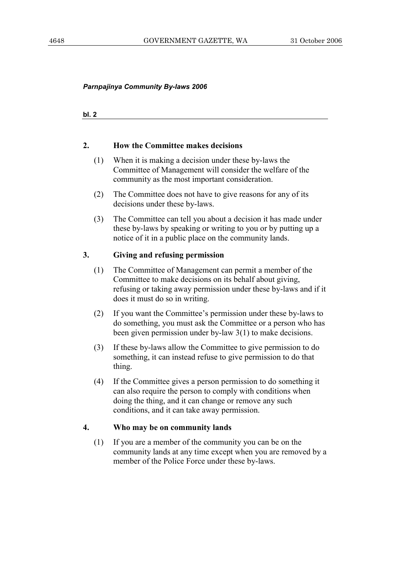**bl. 2**

#### **2. How the Committee makes decisions**

- (1) When it is making a decision under these by-laws the Committee of Management will consider the welfare of the community as the most important consideration.
- (2) The Committee does not have to give reasons for any of its decisions under these by-laws.
- (3) The Committee can tell you about a decision it has made under these by-laws by speaking or writing to you or by putting up a notice of it in a public place on the community lands.

#### **3. Giving and refusing permission**

- (1) The Committee of Management can permit a member of the Committee to make decisions on its behalf about giving, refusing or taking away permission under these by-laws and if it does it must do so in writing.
- (2) If you want the Committee's permission under these by-laws to do something, you must ask the Committee or a person who has been given permission under by-law 3(1) to make decisions.
- (3) If these by-laws allow the Committee to give permission to do something, it can instead refuse to give permission to do that thing.
- (4) If the Committee gives a person permission to do something it can also require the person to comply with conditions when doing the thing, and it can change or remove any such conditions, and it can take away permission.

#### **4. Who may be on community lands**

 (1) If you are a member of the community you can be on the community lands at any time except when you are removed by a member of the Police Force under these by-laws.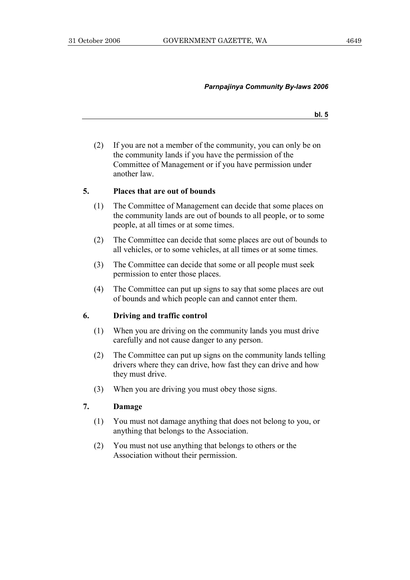**bl. 5**

 (2) If you are not a member of the community, you can only be on the community lands if you have the permission of the Committee of Management or if you have permission under another law.

#### **5. Places that are out of bounds**

- (1) The Committee of Management can decide that some places on the community lands are out of bounds to all people, or to some people, at all times or at some times.
- (2) The Committee can decide that some places are out of bounds to all vehicles, or to some vehicles, at all times or at some times.
- (3) The Committee can decide that some or all people must seek permission to enter those places.
- (4) The Committee can put up signs to say that some places are out of bounds and which people can and cannot enter them.

#### **6. Driving and traffic control**

- (1) When you are driving on the community lands you must drive carefully and not cause danger to any person.
- (2) The Committee can put up signs on the community lands telling drivers where they can drive, how fast they can drive and how they must drive.
- (3) When you are driving you must obey those signs.

#### **7. Damage**

- (1) You must not damage anything that does not belong to you, or anything that belongs to the Association.
- (2) You must not use anything that belongs to others or the Association without their permission.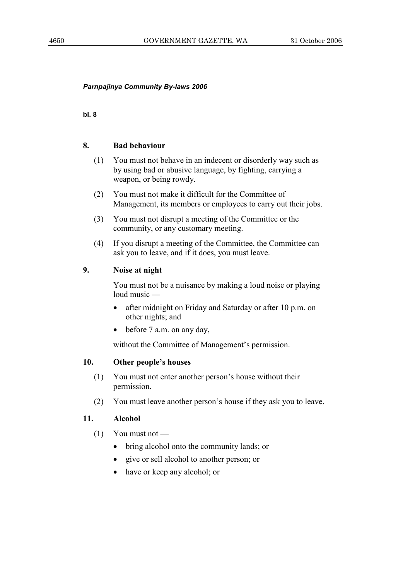**bl. 8**

#### **8. Bad behaviour**

- (1) You must not behave in an indecent or disorderly way such as by using bad or abusive language, by fighting, carrying a weapon, or being rowdy.
- (2) You must not make it difficult for the Committee of Management, its members or employees to carry out their jobs.
- (3) You must not disrupt a meeting of the Committee or the community, or any customary meeting.
- (4) If you disrupt a meeting of the Committee, the Committee can ask you to leave, and if it does, you must leave.

#### **9. Noise at night**

 You must not be a nuisance by making a loud noise or playing loud music —

- after midnight on Friday and Saturday or after 10 p.m. on other nights; and
- before 7 a.m. on any day,

without the Committee of Management's permission.

#### **10. Other people's houses**

- (1) You must not enter another person's house without their permission.
- (2) You must leave another person's house if they ask you to leave.

#### **11. Alcohol**

- $(1)$  You must not
	- bring alcohol onto the community lands; or
	- give or sell alcohol to another person; or
	- have or keep any alcohol; or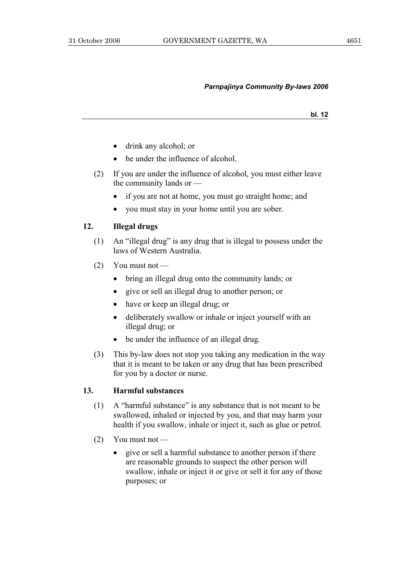**bl. 12**

- drink any alcohol; or
- be under the influence of alcohol.
- (2) If you are under the influence of alcohol, you must either leave the community lands or —
	- if you are not at home, you must go straight home; and
	- you must stay in your home until you are sober.

#### **12. Illegal drugs**

- (1) An "illegal drug" is any drug that is illegal to possess under the laws of Western Australia.
- $(2)$  You must not
	- bring an illegal drug onto the community lands; or
	- give or sell an illegal drug to another person; or
	- have or keep an illegal drug; or
	- deliberately swallow or inhale or inject yourself with an illegal drug; or
	- be under the influence of an illegal drug.
- (3) This by-law does not stop you taking any medication in the way that it is meant to be taken or any drug that has been prescribed for you by a doctor or nurse.

#### **13. Harmful substances**

- (1) A "harmful substance" is any substance that is not meant to be swallowed, inhaled or injected by you, and that may harm your health if you swallow, inhale or inject it, such as glue or petrol.
- (2) You must not
	- give or sell a harmful substance to another person if there are reasonable grounds to suspect the other person will swallow, inhale or inject it or give or sell it for any of those purposes; or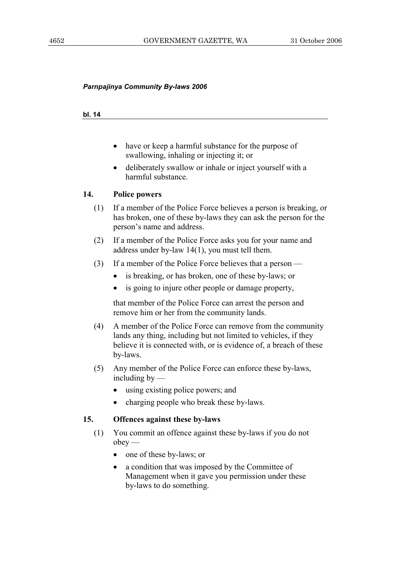#### **bl. 14**

- have or keep a harmful substance for the purpose of swallowing, inhaling or injecting it; or
- deliberately swallow or inhale or inject yourself with a harmful substance.

#### **14. Police powers**

- (1) If a member of the Police Force believes a person is breaking, or has broken, one of these by-laws they can ask the person for the person's name and address.
- (2) If a member of the Police Force asks you for your name and address under by-law 14(1), you must tell them.
- (3) If a member of the Police Force believes that a person
	- is breaking, or has broken, one of these by-laws; or
	- is going to injure other people or damage property,

 that member of the Police Force can arrest the person and remove him or her from the community lands.

- (4) A member of the Police Force can remove from the community lands any thing, including but not limited to vehicles, if they believe it is connected with, or is evidence of, a breach of these by-laws.
- (5) Any member of the Police Force can enforce these by-laws, including by —
	- using existing police powers; and
	- charging people who break these by-laws.

#### **15. Offences against these by-laws**

- (1) You commit an offence against these by-laws if you do not  $obey$  —
	- one of these by-laws; or
	- a condition that was imposed by the Committee of Management when it gave you permission under these by-laws to do something.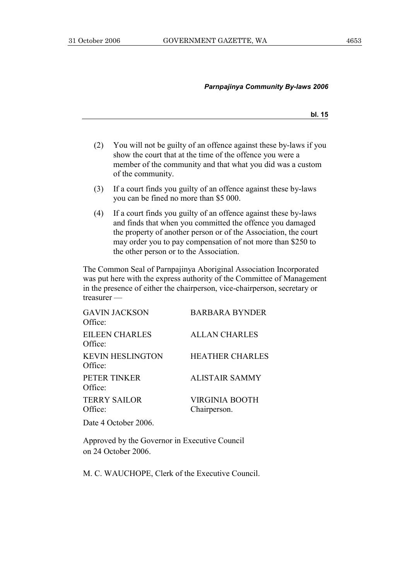**bl. 15**

- (2) You will not be guilty of an offence against these by-laws if you show the court that at the time of the offence you were a member of the community and that what you did was a custom of the community.
- (3) If a court finds you guilty of an offence against these by-laws you can be fined no more than \$5 000.
- (4) If a court finds you guilty of an offence against these by-laws and finds that when you committed the offence you damaged the property of another person or of the Association, the court may order you to pay compensation of not more than \$250 to the other person or to the Association.

The Common Seal of Parnpajinya Aboriginal Association Incorporated was put here with the express authority of the Committee of Management in the presence of either the chairperson, vice-chairperson, secretary or treasurer —

| <b>GAVIN JACKSON</b><br>Office:    | <b>BARBARA BYNDER</b>                 |
|------------------------------------|---------------------------------------|
| <b>EILEEN CHARLES</b><br>Office:   | <b>ALLAN CHARLES</b>                  |
| <b>KEVIN HESLINGTON</b><br>Office: | <b>HEATHER CHARLES</b>                |
| PETER TINKER<br>Office:            | <b>ALISTAIR SAMMY</b>                 |
| <b>TERRY SAILOR</b><br>Office:     | <b>VIRGINIA BOOTH</b><br>Chairperson. |

Date 4 October 2006.

Approved by the Governor in Executive Council on 24 October 2006.

M. C. WAUCHOPE, Clerk of the Executive Council.